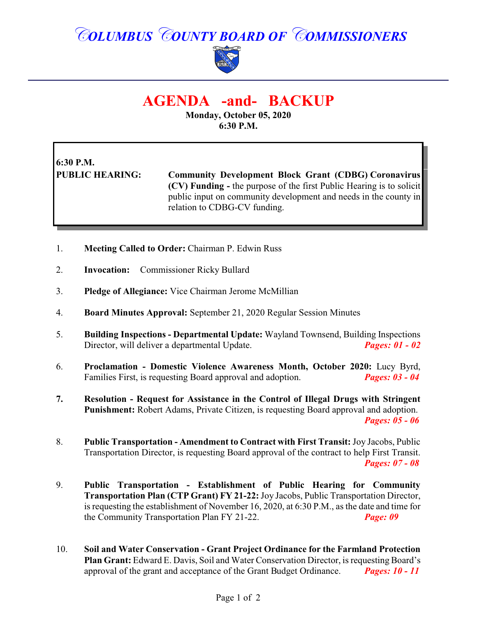## *COLUMBUS COUNTY BOARD OF COMMISSIONERS*



## **AGENDA -and- BACKUP**

**Monday, October 05, 2020 6:30 P.M.**

## **6:30 P.M.**

**PUBLIC HEARING: Community Development Block Grant (CDBG) Coronavirus (CV) Funding -** the purpose of the first Public Hearing is to solicit public input on community development and needs in the county in relation to CDBG-CV funding.

- 1. **Meeting Called to Order:** Chairman P. Edwin Russ
- 2. **Invocation:** Commissioner Ricky Bullard
- 3. **Pledge of Allegiance:** Vice Chairman Jerome McMillian
- 4. **Board Minutes Approval:** September 21, 2020 Regular Session Minutes
- 5. **Building Inspections Departmental Update:** Wayland Townsend, Building Inspections Director, will deliver a departmental Update. *Pages: 01 - 02*
- 6. **Proclamation Domestic Violence Awareness Month, October 2020:** Lucy Byrd, Families First, is requesting Board approval and adoption. *Pages: 03 - 04*
- **7. Resolution Request for Assistance in the Control of Illegal Drugs with Stringent Punishment:** Robert Adams, Private Citizen, is requesting Board approval and adoption. *Pages: 05 - 06*
- 8. **Public Transportation Amendment to Contract with First Transit:**Joy Jacobs, Public Transportation Director, is requesting Board approval of the contract to help First Transit. *Pages: 07 - 08*
- 9. **Public Transportation Establishment of Public Hearing for Community Transportation Plan (CTP Grant) FY 21-22:**Joy Jacobs, Public Transportation Director, is requesting the establishment of November 16, 2020, at 6:30 P.M., as the date and time for the Community Transportation Plan FY 21-22. *Page: 09*
- 10. **Soil and Water Conservation Grant Project Ordinance for the Farmland Protection Plan Grant:** Edward E. Davis, Soil and Water Conservation Director, is requesting Board's approval of the grant and acceptance of the Grant Budget Ordinance. *Pages: 10 - 11*